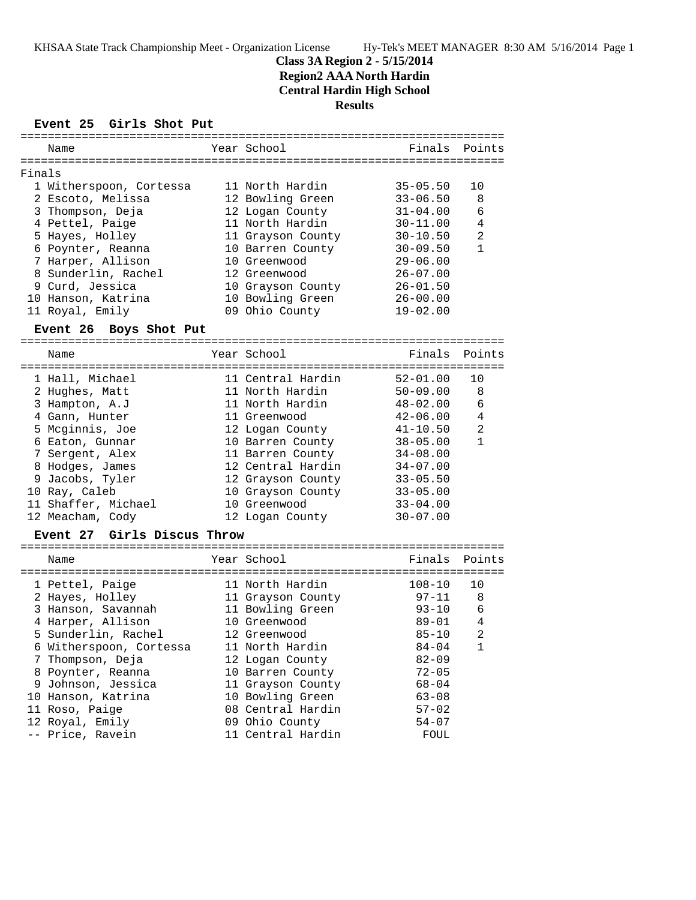# **Class 3A Region 2 - 5/15/2014 Region2 AAA North Hardin Central Hardin High School Results**

**Event 25 Girls Shot Put**

| ========================<br>========= |                                       |  |                   |              |                |  |  |  |  |
|---------------------------------------|---------------------------------------|--|-------------------|--------------|----------------|--|--|--|--|
|                                       | Name                                  |  | Year School       | Finals       | Points         |  |  |  |  |
| Finals                                |                                       |  |                   |              |                |  |  |  |  |
|                                       | 1 Witherspoon, Cortessa               |  | 11 North Hardin   | $35 - 05.50$ | 10             |  |  |  |  |
|                                       | 2 Escoto, Melissa                     |  | 12 Bowling Green  | $33 - 06.50$ | 8              |  |  |  |  |
|                                       | 3 Thompson, Deja                      |  | 12 Logan County   | $31 - 04.00$ | 6              |  |  |  |  |
|                                       |                                       |  | 11 North Hardin   |              | 4              |  |  |  |  |
|                                       | 4 Pettel, Paige                       |  |                   | $30 - 11.00$ |                |  |  |  |  |
|                                       | 5 Hayes, Holley                       |  | 11 Grayson County | $30 - 10.50$ | 2              |  |  |  |  |
|                                       | 6 Poynter, Reanna                     |  | 10 Barren County  | $30 - 09.50$ | 1              |  |  |  |  |
|                                       | 7 Harper, Allison                     |  | 10 Greenwood      | $29 - 06.00$ |                |  |  |  |  |
|                                       | 8 Sunderlin, Rachel                   |  | 12 Greenwood      | $26 - 07.00$ |                |  |  |  |  |
|                                       | 9 Curd, Jessica                       |  | 10 Grayson County | $26 - 01.50$ |                |  |  |  |  |
|                                       | 10 Hanson, Katrina                    |  | 10 Bowling Green  | $26 - 00.00$ |                |  |  |  |  |
|                                       | 11 Royal, Emily                       |  | 09 Ohio County    | $19 - 02.00$ |                |  |  |  |  |
|                                       | Event 26 Boys Shot Put                |  |                   |              |                |  |  |  |  |
|                                       | Name                                  |  | Year School       | Finals       | Points         |  |  |  |  |
|                                       |                                       |  |                   |              |                |  |  |  |  |
|                                       | 1 Hall, Michael                       |  | 11 Central Hardin | $52 - 01.00$ | 10             |  |  |  |  |
|                                       | 2 Hughes, Matt                        |  | 11 North Hardin   | $50 - 09.00$ | 8              |  |  |  |  |
|                                       | 3 Hampton, A.J                        |  | 11 North Hardin   | $48 - 02.00$ | 6              |  |  |  |  |
|                                       | 4 Gann, Hunter                        |  | 11 Greenwood      | $42 - 06.00$ | 4              |  |  |  |  |
|                                       | 5 Mcginnis, Joe                       |  | 12 Logan County   | $41 - 10.50$ | $\overline{a}$ |  |  |  |  |
|                                       | 6 Eaton, Gunnar                       |  | 10 Barren County  | $38 - 05.00$ | $\mathbf{1}$   |  |  |  |  |
|                                       | 7 Sergent, Alex                       |  | 11 Barren County  | $34 - 08.00$ |                |  |  |  |  |
|                                       | 8 Hodges, James                       |  | 12 Central Hardin | $34 - 07.00$ |                |  |  |  |  |
|                                       | 9 Jacobs, Tyler                       |  | 12 Grayson County | $33 - 05.50$ |                |  |  |  |  |
|                                       | 10 Ray, Caleb                         |  | 10 Grayson County | $33 - 05.00$ |                |  |  |  |  |
|                                       | 11 Shaffer, Michael                   |  | 10 Greenwood      | $33 - 04.00$ |                |  |  |  |  |
|                                       | 12 Meacham, Cody                      |  | 12 Logan County   | $30 - 07.00$ |                |  |  |  |  |
|                                       | Girls Discus Throw<br><b>Event 27</b> |  |                   |              |                |  |  |  |  |
|                                       |                                       |  |                   |              |                |  |  |  |  |
|                                       | Name                                  |  | Year School       | Finals       | Points         |  |  |  |  |
|                                       | 1 Pettel, Paige                       |  | 11 North Hardin   | $108 - 10$   | 10             |  |  |  |  |
|                                       | 2 Hayes, Holley                       |  | 11 Grayson County | 97-11        | 8              |  |  |  |  |
|                                       | 3 Hanson, Savannah                    |  | 11 Bowling Green  | $93 - 10$    | 6              |  |  |  |  |
|                                       | 4 Harper, Allison                     |  | 10 Greenwood      | $89 - 01$    | 4              |  |  |  |  |
|                                       | 5 Sunderlin, Rachel                   |  | 12 Greenwood      | $85 - 10$    | $\overline{2}$ |  |  |  |  |
|                                       | 6 Witherspoon, Cortessa               |  | 11 North Hardin   | $84 - 04$    | 1              |  |  |  |  |
|                                       | 7 Thompson, Deja                      |  | 12 Logan County   | $82 - 09$    |                |  |  |  |  |
|                                       | 8 Poynter, Reanna                     |  | 10 Barren County  | $72 - 05$    |                |  |  |  |  |
|                                       | 9 Johnson, Jessica                    |  | 11 Grayson County | $68 - 04$    |                |  |  |  |  |
|                                       | 10 Hanson, Katrina                    |  | 10 Bowling Green  | $63 - 08$    |                |  |  |  |  |
|                                       | 11 Roso, Paige                        |  | 08 Central Hardin | $57 - 02$    |                |  |  |  |  |
|                                       | 12 Royal, Emily                       |  | 09 Ohio County    | $54 - 07$    |                |  |  |  |  |
|                                       | -- Price, Ravein                      |  | 11 Central Hardin | FOUL         |                |  |  |  |  |
|                                       |                                       |  |                   |              |                |  |  |  |  |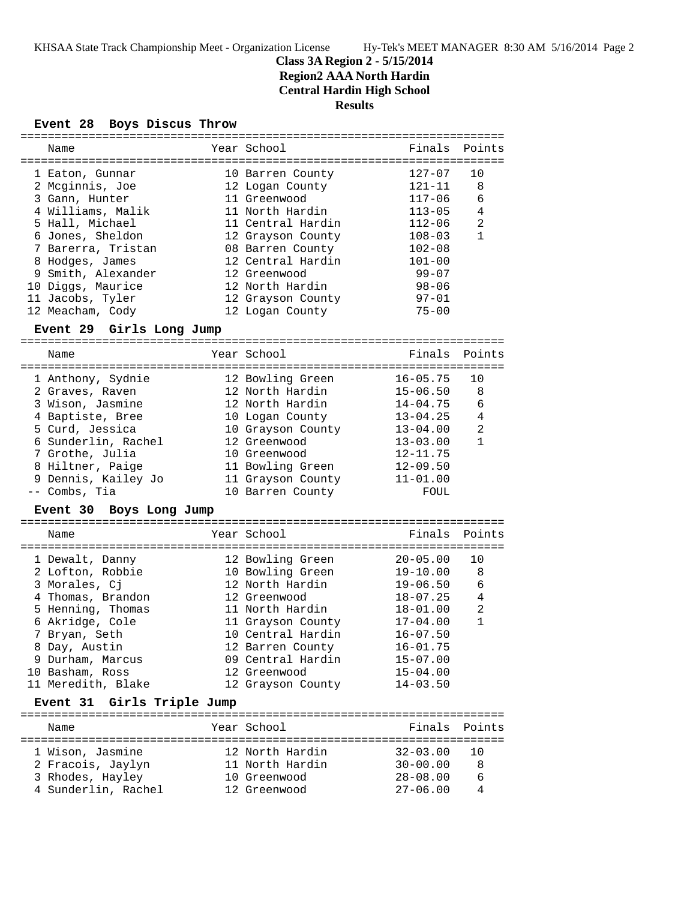# **Class 3A Region 2 - 5/15/2014**

**Region2 AAA North Hardin**

**Central Hardin High School**

# **Results**

## **Event 28 Boys Discus Throw**

| =========                               |                              |                              |                |
|-----------------------------------------|------------------------------|------------------------------|----------------|
| Name                                    | Year School                  | Finals                       | Points         |
|                                         |                              |                              |                |
| 1 Eaton, Gunnar                         | 10 Barren County             | $127 - 07$                   | 10             |
| 2 Mcginnis, Joe                         | 12 Logan County              | $121 - 11$                   | 8              |
| 3 Gann, Hunter                          | 11 Greenwood                 | $117 - 06$                   | 6              |
| 4 Williams, Malik                       | 11 North Hardin              | $113 - 05$                   | 4              |
| 5 Hall, Michael                         | 11 Central Hardin            | 112-06                       | $\overline{a}$ |
| 6 Jones, Sheldon                        | 12 Grayson County            | $108 - 03$                   | $\mathbf{1}$   |
| 7 Barerra, Tristan                      | 08 Barren County             | $102 - 08$                   |                |
| 8 Hodges, James                         | 12 Central Hardin            | $101 - 00$                   |                |
| 9 Smith, Alexander                      | 12 Greenwood                 | 99–07                        |                |
| 10 Diggs, Maurice                       | 12 North Hardin              | 98-06                        |                |
| 11 Jacobs, Tyler                        | 12 Grayson County            | $97 - 01$                    |                |
| 12 Meacham, Cody                        | 12 Logan County              | $75 - 00$                    |                |
|                                         |                              |                              |                |
| Event 29 Girls Long Jump                |                              |                              |                |
| Name                                    | Year School                  | Finals                       | Points         |
|                                         |                              |                              |                |
| 1 Anthony, Sydnie                       | 12 Bowling Green             | $16 - 05.75$                 | 10             |
| 2 Graves, Raven                         | 12 North Hardin              | $15 - 06.50$                 | 8              |
| 3 Wison, Jasmine                        | 12 North Hardin              | $14 - 04.75$                 | 6              |
| 4 Baptiste, Bree                        | 10 Logan County              | $13 - 04.25$                 | 4              |
| 5 Curd, Jessica                         | 10 Grayson County            | $13 - 04.00$                 | 2              |
|                                         |                              |                              | $\mathbf{1}$   |
| 6 Sunderlin, Rachel                     | 12 Greenwood                 | $13 - 03.00$                 |                |
| 7 Grothe, Julia                         | 10 Greenwood                 | $12 - 11.75$                 |                |
| 8 Hiltner, Paige                        | 11 Bowling Green             | $12 - 09.50$                 |                |
| 9 Dennis, Kailey Jo                     | 11 Grayson County            | $11 - 01.00$                 |                |
| -- Combs, Tia                           | 10 Barren County             | FOUL                         |                |
| <b>Event 30</b><br>Boys Long Jump       |                              |                              |                |
|                                         |                              |                              |                |
| Name                                    | Year School                  | Finals                       | Points         |
| 1 Dewalt, Danny                         | 12 Bowling Green             | $20 - 05.00$                 | 10             |
| 2 Lofton, Robbie                        | 10 Bowling Green             | $19 - 10.00$                 | 8              |
| 3 Morales, Cj                           | 12 North Hardin              | $19 - 06.50$                 | 6              |
| 4 Thomas, Brandon                       | 12 Greenwood                 | $18 - 07.25$                 | 4              |
| 5 Henning, Thomas                       | 11 North Hardin              | 18-01.00                     | $\overline{2}$ |
| 6 Akridge, Cole                         | 11 Grayson County            | 17-04.00                     | $\mathbf{1}$   |
| 7 Bryan, Seth                           | 10 Central Hardin            | $16 - 07.50$                 |                |
|                                         |                              | $16 - 01.75$                 |                |
| 8 Day, Austin                           | 12 Barren County             |                              |                |
| 9 Durham, Marcus                        | 09 Central Hardin            | $15 - 07.00$                 |                |
| 10 Basham, Ross                         | 12 Greenwood                 | $15 - 04.00$                 |                |
| 11 Meredith, Blake                      | 12 Grayson County            | $14 - 03.50$                 |                |
| Event 31 Girls Triple Jump              |                              |                              | ======         |
| Name                                    | Year School                  | Finals                       | Points         |
|                                         |                              |                              |                |
|                                         | 12 North Hardin              | $32 - 03.00$                 | 10             |
|                                         |                              |                              |                |
| 1 Wison, Jasmine                        |                              |                              |                |
| 2 Fracois, Jaylyn                       | 11 North Hardin              | $30 - 00.00$                 | 8              |
| 3 Rhodes, Hayley<br>4 Sunderlin, Rachel | 10 Greenwood<br>12 Greenwood | $28 - 08.00$<br>$27 - 06.00$ | 6<br>4         |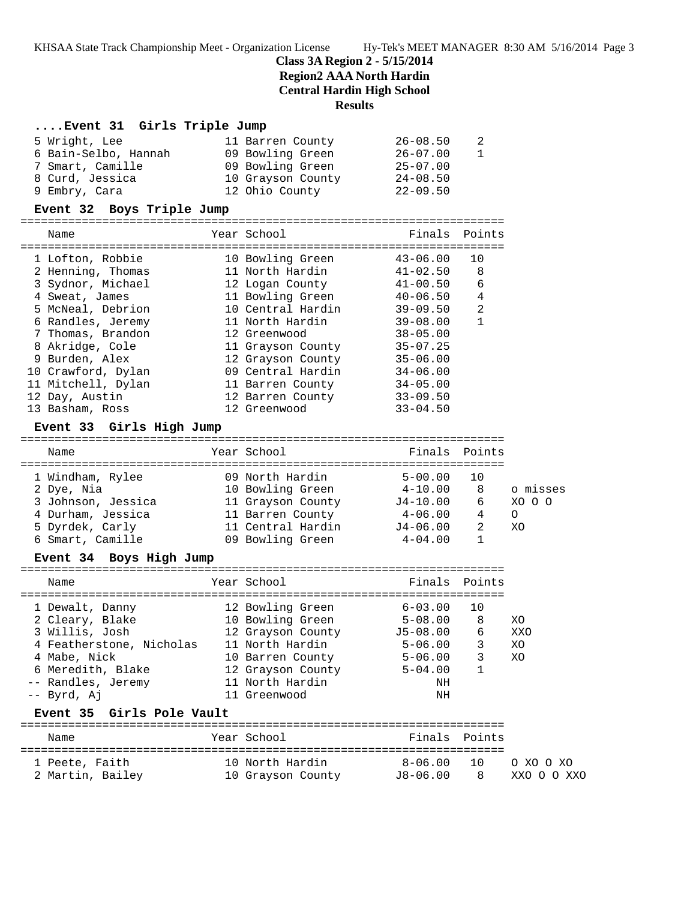### **Class 3A Region 2 - 5/15/2014**

**Region2 AAA North Hardin**

**Central Hardin High School**

#### **Results**

### **....Event 31 Girls Triple Jump**

| 5 Wright, Lee        | 11 Barren County  | $26 - 08.50$ | 2            |
|----------------------|-------------------|--------------|--------------|
| 6 Bain-Selbo, Hannah | 09 Bowling Green  | $26 - 07.00$ | $\mathbf{1}$ |
| 7 Smart, Camille     | 09 Bowling Green  | $25 - 07.00$ |              |
| 8 Curd, Jessica      | 10 Grayson County | $24 - 08.50$ |              |
| 9 Embry, Cara        | 12 Ohio County    | $22 - 09.50$ |              |

#### **Event 32 Boys Triple Jump**

======================================================================= Name Year School Finals Points ======================================================================= 1 Lofton, Robbie 10 Bowling Green 43-06.00 10 2 Henning, Thomas 11 North Hardin 41-02.50 8 3 Sydnor, Michael 12 Logan County 41-00.50 6 4 Sweat, James 11 Bowling Green 40-06.50 4 5 McNeal, Debrion 10 Central Hardin 39-09.50 2 6 Randles, Jeremy 11 North Hardin 39-08.00 1 7 Thomas, Brandon 12 Greenwood 38-05.00 8 Akridge, Cole 11 Grayson County 35-07.25 9 Burden, Alex 12 Grayson County 35-06.00 10 Crawford, Dylan 09 Central Hardin 34-06.00 11 Mitchell, Dylan 11 Barren County 34-05.00 12 Day, Austin 12 Barren County 33-09.50 13 Basham, Ross 12 Greenwood 33-04.50

### **Event 33 Girls High Jump**

|  | Name               |  | Year School       | Finals Points |    |          |  |
|--|--------------------|--|-------------------|---------------|----|----------|--|
|  |                    |  |                   |               |    |          |  |
|  | 1 Windham, Rylee   |  | 09 North Hardin   | $5 - 00.00$   | 10 |          |  |
|  | 2 Dye, Nia         |  | 10 Bowling Green  | $4 - 10.00$   | 8  | o misses |  |
|  | 3 Johnson, Jessica |  | 11 Grayson County | $J4 - 10.00$  | 6  | XO O O   |  |
|  | 4 Durham, Jessica  |  | 11 Barren County  | $4 - 06.00$   | 4  | $\Omega$ |  |
|  | 5 Dyrdek, Carly    |  | 11 Central Hardin | $J4 - 06.00$  |    | XO       |  |
|  | 6 Smart, Camille   |  | 09 Bowling Green  | $4 - 04.00$   |    |          |  |

#### **Event 34 Boys High Jump**

| Name                     | Year School       | Finals Points |    |     |
|--------------------------|-------------------|---------------|----|-----|
| 1 Dewalt, Danny          | 12 Bowling Green  | $6 - 03.00$   | 10 |     |
| 2 Cleary, Blake          | 10 Bowling Green  | $5 - 08.00$   | 8  | XO  |
| 3 Willis, Josh           | 12 Grayson County | $J5 - 08.00$  | 6  | XXO |
| 4 Featherstone, Nicholas | 11 North Hardin   | $5 - 06.00$   | 3  | XO  |
| 4 Mabe, Nick             | 10 Barren County  | $5 - 06.00$   | 3  | XO  |
| 6 Meredith, Blake        | 12 Grayson County | $5 - 04.00$   |    |     |
| -- Randles, Jeremy       | 11 North Hardin   | ΝH            |    |     |
| -- Byrd, Aj              | 11 Greenwood      | ΝH            |    |     |
|                          |                   |               |    |     |

#### **Event 35 Girls Pole Vault**

| Name             | Year School       | Finals Points |                 |             |
|------------------|-------------------|---------------|-----------------|-------------|
| 1 Peete, Faith   | 10 North Hardin   | 8-06.00       | $\overline{10}$ | O XO O XO   |
| 2 Martin, Bailey | 10 Grayson County | J8-06.00      | <b>R</b>        | XXO O O XXO |